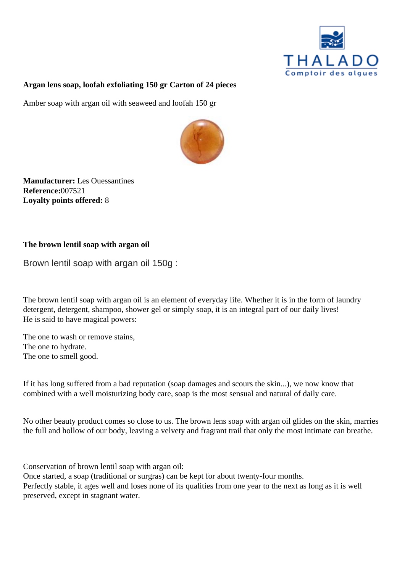Argan lens soap, loofah exfoliating 150 gr Carton of 24 pieces

Amber soap with argan oil with seaweed and loofah 150 gr

Manufacturer: Les Ouessantines Reference007521 Loyalty points offered: 8

The brown lentil soap with argan oil

Brown lentil soap with argan oil 150g :

The brown lentil soap with argan oil is an element of everyday life. Whether it is in the form of laundry detergent, detergent, shampoo, shower gel or simply soap, it is an integral part of our daily lives! He is said to have magical powers:

The one to wash or remove stains, The one to hydrate. The one to smell good.

If it has long suffered from a bad reputation (soap damages and scours the skin...), we now know that combined with a well moisturizing body care, soap is the most sensual and natural of daily care.

No other beauty product comes so close to us. The brown lens soap with argan oil glides on the skin, mar the full and hollow of our body, leaving a velvety and fragrant trail that only the most intimate can breathe.

Conservation of brown lentil soap with argan oil:

Once started, a soap (traditional or surgras) can be kept for about twenty-four months. Perfectly stable, it ages well and loses none of its qualities from one year to the next as long as it is well preserved, except in stagnant water.